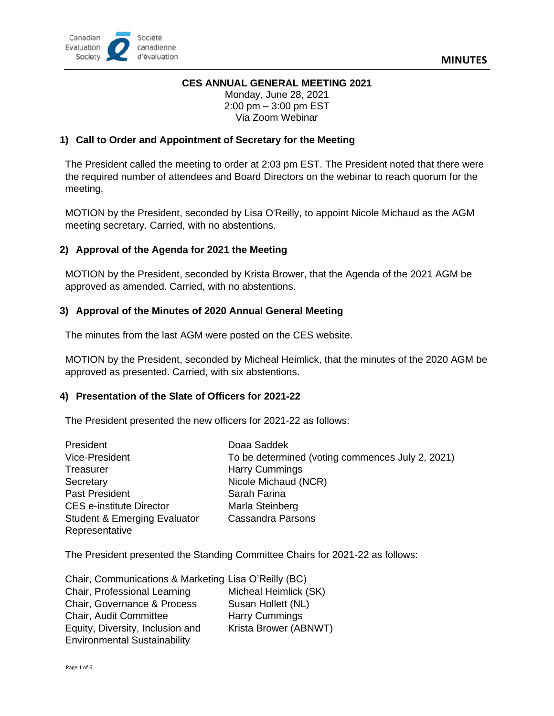### **CES ANNUAL GENERAL MEETING 2021**

Monday, June 28, 2021 2:00 pm – 3:00 pm EST Via Zoom Webinar

### **1) Call to Order and Appointment of Secretary for the Meeting**

The President called the meeting to order at 2:03 pm EST. The President noted that there were the required number of attendees and Board Directors on the webinar to reach quorum for the meeting.

MOTION by the President, seconded by Lisa O'Reilly, to appoint Nicole Michaud as the AGM meeting secretary. Carried, with no abstentions.

# **2) Approval of the Agenda for 2021 the Meeting**

MOTION by the President, seconded by Krista Brower, that the Agenda of the 2021 AGM be approved as amended. Carried, with no abstentions.

### **3) Approval of the [Minutes](https://evaluationcanada.ca/system/files/agm-minutes-05-2018-en.pdf) of 2020 Annual General Meeting**

The minutes from the last AGM were posted on the CES website.

MOTION by the President, seconded by Micheal Heimlick, that the minutes of the 2020 AGM be approved as presented. Carried, with six abstentions.

#### **4) Presentation of the Slate of Officers for 2021-22**

The President presented the new officers for 2021-22 as follows:

| President                               | Doaa Saddek                                      |
|-----------------------------------------|--------------------------------------------------|
| Vice-President                          | To be determined (voting commences July 2, 2021) |
| Treasurer                               | <b>Harry Cummings</b>                            |
| Secretary                               | Nicole Michaud (NCR)                             |
| Past President                          | Sarah Farina                                     |
| <b>CES e-institute Director</b>         | Marla Steinberg                                  |
| <b>Student &amp; Emerging Evaluator</b> | <b>Cassandra Parsons</b>                         |
| Representative                          |                                                  |

The President presented the Standing Committee Chairs for 2021-22 as follows:

| Chair, Communications & Marketing Lisa O'Reilly (BC) |                       |
|------------------------------------------------------|-----------------------|
| Chair, Professional Learning                         | Micheal Heimlick (SK) |
| Chair, Governance & Process                          | Susan Hollett (NL)    |
| <b>Chair, Audit Committee</b>                        | <b>Harry Cummings</b> |
| Equity, Diversity, Inclusion and                     | Krista Brower (ABNWT) |
| <b>Environmental Sustainability</b>                  |                       |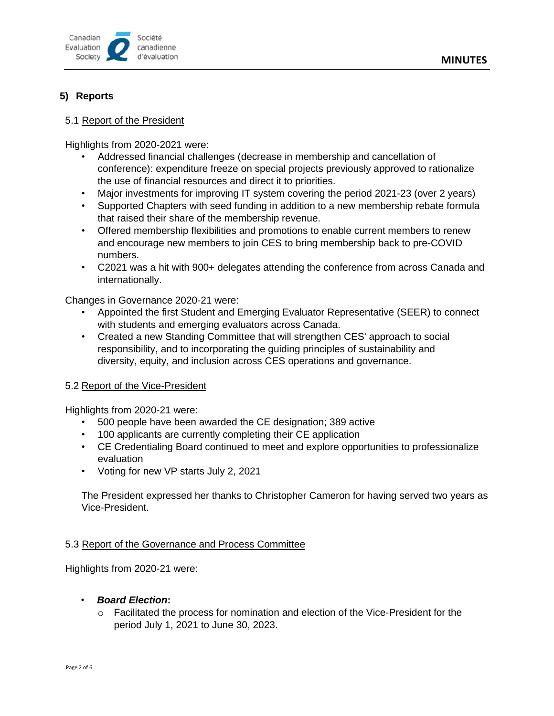

# **5) Reports**

#### 5.1 Report of the President

Highlights from 2020-2021 were:

- Addressed financial challenges (decrease in membership and cancellation of conference): expenditure freeze on special projects previously approved to rationalize the use of financial resources and direct it to priorities.
- Major investments for improving IT system covering the period 2021-23 (over 2 years)
- Supported Chapters with seed funding in addition to a new membership rebate formula that raised their share of the membership revenue.
- Offered membership flexibilities and promotions to enable current members to renew and encourage new members to join CES to bring membership back to pre-COVID numbers.
- C2021 was a hit with 900+ delegates attending the conference from across Canada and internationally.

Changes in Governance 2020-21 were:

- Appointed the first Student and Emerging Evaluator Representative (SEER) to connect with students and emerging evaluators across Canada.
- Created a new Standing Committee that will strengthen CES' approach to social responsibility, and to incorporating the guiding principles of sustainability and diversity, equity, and inclusion across CES operations and governance.

#### 5.2 Report of the Vice-President

Highlights from 2020-21 were:

- 500 people have been awarded the CE designation; 389 active
- 100 applicants are currently completing their CE application
- CE Credentialing Board continued to meet and explore opportunities to professionalize evaluation
- Voting for new VP starts July 2, 2021

The President expressed her thanks to Christopher Cameron for having served two years as Vice-President.

### 5.3 Report of the Governance and Process Committee

Highlights from 2020-21 were:

- *Board Election***:**
	- $\circ$  Facilitated the process for nomination and election of the Vice-President for the period July 1, 2021 to June 30, 2023.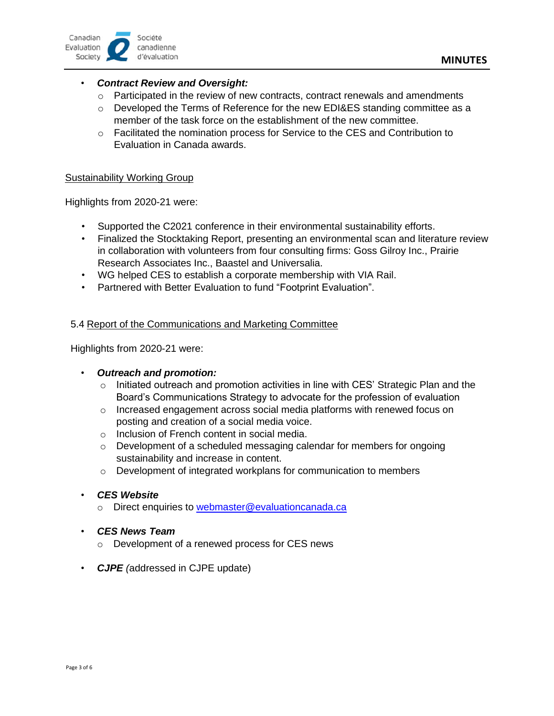

# • *Contract Review and Oversight:*

- $\circ$  Participated in the review of new contracts, contract renewals and amendments
- $\circ$  Developed the Terms of Reference for the new EDI&ES standing committee as a member of the task force on the establishment of the new committee.
- $\circ$  Facilitated the nomination process for Service to the CES and Contribution to Evaluation in Canada awards.

#### Sustainability Working Group

Highlights from 2020-21 were:

- Supported the C2021 conference in their environmental sustainability efforts.
- Finalized the Stocktaking Report, presenting an environmental scan and literature review in collaboration with volunteers from four consulting firms: Goss Gilroy Inc., Prairie Research Associates Inc., Baastel and Universalia.
- WG helped CES to establish a corporate membership with VIA Rail.
- Partnered with Better Evaluation to fund "Footprint Evaluation".

### 5.4 Report of the Communications and Marketing Committee

Highlights from 2020-21 were:

#### • *Outreach and promotion:*

- $\circ$  Initiated outreach and promotion activities in line with CES' Strategic Plan and the Board's Communications Strategy to advocate for the profession of evaluation
- $\circ$  Increased engagement across social media platforms with renewed focus on posting and creation of a social media voice.
- o Inclusion of French content in social media.
- $\circ$  Development of a scheduled messaging calendar for members for ongoing sustainability and increase in content.
- $\circ$  Development of integrated workplans for communication to members

#### • *CES Website*

o Direct enquiries to [webmaster@evaluationcanada.ca](mailto:webmaster@evaluationcanada.ca)

#### • *CES News Team*

- o Development of a renewed process for CES news
- *CJPE (*addressed in CJPE update)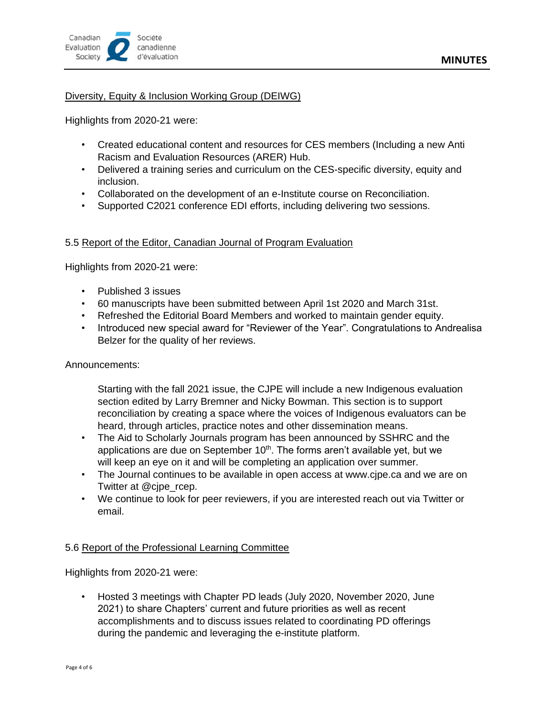

### Diversity, Equity & Inclusion Working Group (DEIWG)

Highlights from 2020-21 were:

- Created educational content and resources for CES members (Including a new Anti Racism and Evaluation Resources (ARER) Hub.
- Delivered a training series and curriculum on the CES-specific diversity, equity and inclusion.
- Collaborated on the development of an e-Institute course on Reconciliation.
- Supported C2021 conference EDI efforts, including delivering two sessions.

### 5.5 Report of the Editor, Canadian Journal of Program Evaluation

Highlights from 2020-21 were:

- Published 3 issues
- 60 manuscripts have been submitted between April 1st 2020 and March 31st.
- Refreshed the Editorial Board Members and worked to maintain gender equity.
- Introduced new special award for "Reviewer of the Year". Congratulations to Andrealisa Belzer for the quality of her reviews.

#### Announcements:

Starting with the fall 2021 issue, the CJPE will include a new Indigenous evaluation section edited by Larry Bremner and Nicky Bowman. This section is to support reconciliation by creating a space where the voices of Indigenous evaluators can be heard, through articles, practice notes and other dissemination means.

- The Aid to Scholarly Journals program has been announced by SSHRC and the applications are due on September  $10<sup>th</sup>$ . The forms aren't available yet, but we will keep an eye on it and will be completing an application over summer.
- The Journal continues to be available in open access at www.cjpe.ca and we are on Twitter at @cjpe\_rcep.
- We continue to look for peer reviewers, if you are interested reach out via Twitter or email.

#### 5.6 Report of the Professional Learning Committee

Highlights from 2020-21 were:

• Hosted 3 meetings with Chapter PD leads (July 2020, November 2020, June 2021) to share Chapters' current and future priorities as well as recent accomplishments and to discuss issues related to coordinating PD offerings during the pandemic and leveraging the e-institute platform.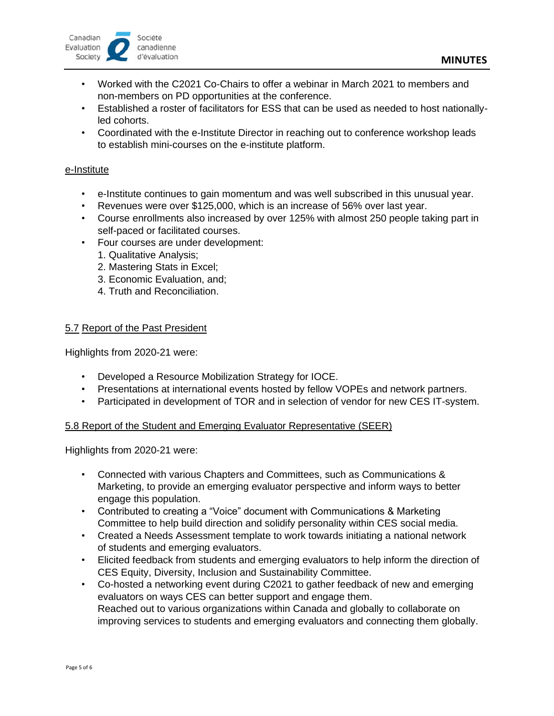

- Worked with the C2021 Co-Chairs to offer a webinar in March 2021 to members and non-members on PD opportunities at the conference.
- Established a roster of facilitators for ESS that can be used as needed to host nationallyled cohorts.
- Coordinated with the e-Institute Director in reaching out to conference workshop leads to establish mini-courses on the e-institute platform.

#### e-Institute

- e-Institute continues to gain momentum and was well subscribed in this unusual year.
- Revenues were over \$125,000, which is an increase of 56% over last year.
- Course enrollments also increased by over 125% with almost 250 people taking part in self-paced or facilitated courses.
- Four courses are under development:
	- 1. Qualitative Analysis;
	- 2. Mastering Stats in Excel;
	- 3. Economic Evaluation, and;
	- 4. Truth and Reconciliation.

### 5.7 Report of the Past President

Highlights from 2020-21 were:

- Developed a Resource Mobilization Strategy for IOCE.
- Presentations at international events hosted by fellow VOPEs and network partners.
- Participated in development of TOR and in selection of vendor for new CES IT-system.

#### 5.8 Report of the Student and Emerging Evaluator Representative (SEER)

Highlights from 2020-21 were:

- Connected with various Chapters and Committees, such as Communications & Marketing, to provide an emerging evaluator perspective and inform ways to better engage this population.
- Contributed to creating a "Voice" document with Communications & Marketing Committee to help build direction and solidify personality within CES social media.
- Created a Needs Assessment template to work towards initiating a national network of students and emerging evaluators.
- Elicited feedback from students and emerging evaluators to help inform the direction of CES Equity, Diversity, Inclusion and Sustainability Committee.
- Co-hosted a networking event during C2021 to gather feedback of new and emerging evaluators on ways CES can better support and engage them. Reached out to various organizations within Canada and globally to collaborate on improving services to students and emerging evaluators and connecting them globally.